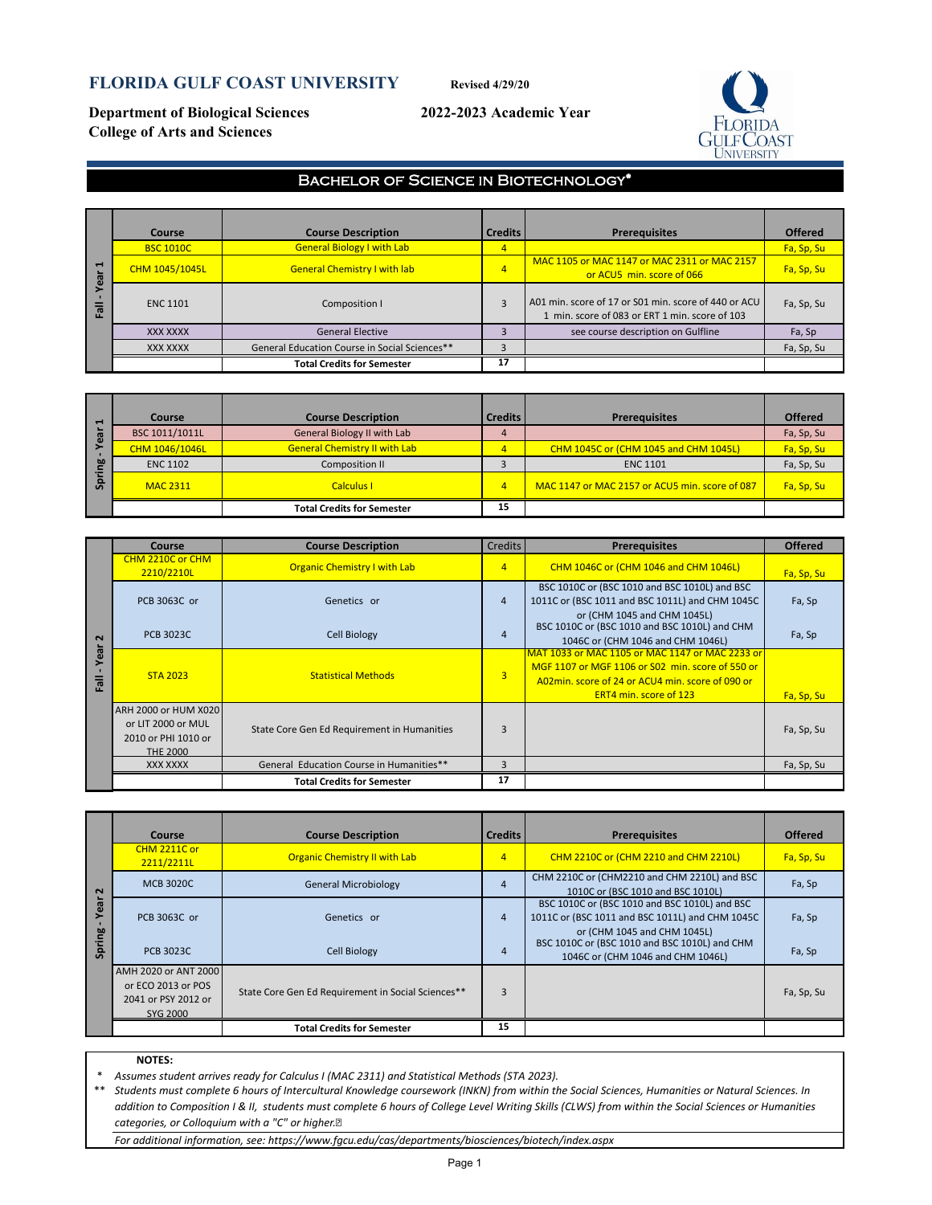# **FLORIDA GULF COAST UNIVERSITY Revised 4/29/20**

**Department of Biological Sciences 2022-2023 Academic Year College of Arts and Sciences**



## Bachelor of Science in Biotechnology\*

|                     | <b>Course</b>    | <b>Course Description</b>                     | <b>Credits</b> | <b>Prerequisites</b>                                                                                   | <b>Offered</b> |
|---------------------|------------------|-----------------------------------------------|----------------|--------------------------------------------------------------------------------------------------------|----------------|
|                     | <b>BSC 1010C</b> | <b>General Biology I with Lab</b>             | 4              |                                                                                                        | Fa, Sp, Su     |
| $\blacksquare$<br>ത | CHM 1045/1045L   | <b>General Chemistry I with lab</b>           | $\overline{4}$ | MAC 1105 or MAC 1147 or MAC 2311 or MAC 2157<br>or ACU5 min. score of 066                              | Fa, Sp, Su     |
| ᄛ                   | <b>ENC 1101</b>  | Composition I                                 | 3              | A01 min. score of 17 or S01 min. score of 440 or ACU<br>1 min. score of 083 or ERT 1 min. score of 103 | Fa, Sp, Su     |
|                     | <b>XXX XXXX</b>  | <b>General Elective</b>                       |                | see course description on Gulfline                                                                     | Fa, Sp         |
|                     | XXX XXXX         | General Education Course in Social Sciences** |                |                                                                                                        | Fa, Sp, Su     |
|                     |                  | <b>Total Credits for Semester</b>             | 17             |                                                                                                        |                |

| $\blacksquare$ | Course          | <b>Course Description</b>            | <b>Credits</b> | <b>Prerequisites</b>                           | <b>Offered</b> |
|----------------|-----------------|--------------------------------------|----------------|------------------------------------------------|----------------|
| $\frac{1}{2}$  | BSC 1011/1011L  | <b>General Biology II with Lab</b>   |                |                                                | Fa, Sp, Su     |
|                | CHM 1046/1046L  | <b>General Chemistry II with Lab</b> | $\overline{4}$ | CHM 1045C or (CHM 1045 and CHM 1045L)          | Fa, Sp, Su     |
| 50             | <b>ENC 1102</b> | Composition II                       |                | <b>ENC 1101</b>                                | Fa, Sp, Su     |
| S              | <b>MAC 2311</b> | <b>Calculus I</b>                    | 4              | MAC 1147 or MAC 2157 or ACU5 min. score of 087 | Fa, Sp, Su     |
|                |                 | <b>Total Credits for Semester</b>    | 15             |                                                |                |

|                         | <b>Course</b>                                                                        | <b>Course Description</b>                   | <b>Credits</b> | <b>Prerequisites</b>                                                                                                                                                                     | <b>Offered</b>    |
|-------------------------|--------------------------------------------------------------------------------------|---------------------------------------------|----------------|------------------------------------------------------------------------------------------------------------------------------------------------------------------------------------------|-------------------|
|                         | CHM 2210C or CHM<br>2210/2210L                                                       | <b>Organic Chemistry I with Lab</b>         | $\overline{4}$ | <b>CHM 1046C or (CHM 1046 and CHM 1046L)</b>                                                                                                                                             | <b>Fa, Sp, Su</b> |
|                         | PCB 3063C or                                                                         | Genetics or                                 | $\overline{4}$ | BSC 1010C or (BSC 1010 and BSC 1010L) and BSC<br>1011C or (BSC 1011 and BSC 1011L) and CHM 1045C<br>or (CHM 1045 and CHM 1045L)                                                          | Fa, Sp            |
| $\sim$                  | <b>PCB 3023C</b>                                                                     | <b>Cell Biology</b>                         | 4              | BSC 1010C or (BSC 1010 and BSC 1010L) and CHM<br>1046C or (CHM 1046 and CHM 1046L)                                                                                                       | Fa, Sp            |
| ā<br>$\omega$<br>등<br>ш | <b>STA 2023</b>                                                                      | <b>Statistical Methods</b>                  | $\overline{3}$ | MAT 1033 or MAC 1105 or MAC 1147 or MAC 2233 or<br>MGF 1107 or MGF 1106 or S02 min. score of 550 or<br>A02min. score of 24 or ACU4 min. score of 090 or<br><b>ERT4 min. score of 123</b> | Fa, Sp, Su        |
|                         | ARH 2000 or HUM X020<br>or LIT 2000 or MUL<br>2010 or PHI 1010 or<br><b>THE 2000</b> | State Core Gen Ed Requirement in Humanities | 3              |                                                                                                                                                                                          | Fa, Sp, Su        |
|                         | XXX XXXX                                                                             | General Education Course in Humanities**    | 3              |                                                                                                                                                                                          | Fa, Sp, Su        |
|                         |                                                                                      | <b>Total Credits for Semester</b>           | 17             |                                                                                                                                                                                          |                   |

|                      | Course                                                                                                                                          | <b>Course Description</b>                          | <b>Credits</b> | <b>Prerequisites</b>                                                                                                            | <b>Offered</b> |
|----------------------|-------------------------------------------------------------------------------------------------------------------------------------------------|----------------------------------------------------|----------------|---------------------------------------------------------------------------------------------------------------------------------|----------------|
|                      | <b>CHM 2211C or</b><br>2211/2211L                                                                                                               | <b>Organic Chemistry II with Lab</b>               | $\overline{4}$ | <b>CHM 2210C or (CHM 2210 and CHM 2210L)</b>                                                                                    | Fa, Sp, Su     |
| $\mathbf{\Omega}$    | <b>MCB 3020C</b>                                                                                                                                | <b>General Microbiology</b>                        | $\overline{4}$ | CHM 2210C or (CHM2210 and CHM 2210L) and BSC<br>1010C or (BSC 1010 and BSC 1010L)                                               | Fa, Sp         |
| $\sigma$<br>$\omega$ | PCB 3063C or                                                                                                                                    | Genetics or                                        | $\overline{4}$ | BSC 1010C or (BSC 1010 and BSC 1010L) and BSC<br>1011C or (BSC 1011 and BSC 1011L) and CHM 1045C<br>or (CHM 1045 and CHM 1045L) | Fa, Sp         |
| Spring               | <b>PCB 3023C</b>                                                                                                                                | <b>Cell Biology</b>                                | 4              | BSC 1010C or (BSC 1010 and BSC 1010L) and CHM<br>1046C or (CHM 1046 and CHM 1046L)                                              | Fa, Sp         |
|                      | AMH 2020 or ANT 2000<br>or ECO 2013 or POS<br>2041 or PSY 2012 or<br>SYG 2000                                                                   | State Core Gen Ed Requirement in Social Sciences** | 3              |                                                                                                                                 | Fa, Sp, Su     |
|                      |                                                                                                                                                 | <b>Total Credits for Semester</b>                  | 15             |                                                                                                                                 |                |
|                      |                                                                                                                                                 |                                                    |                |                                                                                                                                 |                |
|                      | <b>NOTES:</b>                                                                                                                                   |                                                    |                |                                                                                                                                 |                |
| *                    | Assumes student arrives ready for Calculus I (MAC 2311) and Statistical Methods (STA 2023).                                                     |                                                    |                |                                                                                                                                 |                |
| **                   | Students must complete 6 hours of Intercultural Knowledge coursework (INKN) from within the Social Sciences, Humanities or Natural Sciences. In |                                                    |                |                                                                                                                                 |                |

#### **NOTES:**

*Students must complete 6 hours of Intercultural Knowledge coursework (INKN) from within the Social Sciences, Humanities or Natural Sciences. In addition to Composition I & II, students must complete 6 hours of College Level Writing Skills (CLWS) from within the Social Sciences or Humanities categories, or Colloquium with a "C" or higher.* 

*For additional information, see: https://www.fgcu.edu/cas/departments/biosciences/biotech/index.aspx*